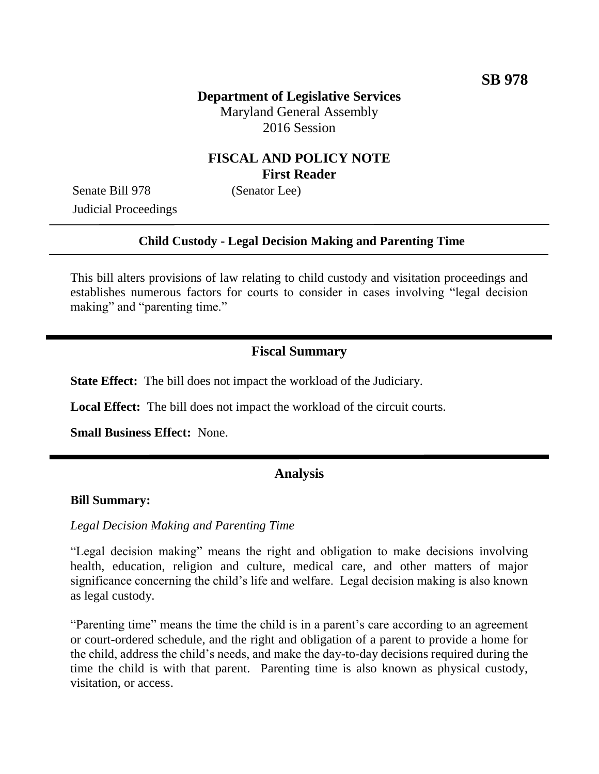# **FISCAL AND POLICY NOTE First Reader**

Senate Bill 978 (Senator Lee) Judicial Proceedings

#### **Child Custody - Legal Decision Making and Parenting Time**

This bill alters provisions of law relating to child custody and visitation proceedings and establishes numerous factors for courts to consider in cases involving "legal decision making" and "parenting time."

## **Fiscal Summary**

**State Effect:** The bill does not impact the workload of the Judiciary.

**Local Effect:** The bill does not impact the workload of the circuit courts.

**Small Business Effect:** None.

### **Analysis**

#### **Bill Summary:**

#### *Legal Decision Making and Parenting Time*

"Legal decision making" means the right and obligation to make decisions involving health, education, religion and culture, medical care, and other matters of major significance concerning the child's life and welfare. Legal decision making is also known as legal custody.

"Parenting time" means the time the child is in a parent's care according to an agreement or court-ordered schedule, and the right and obligation of a parent to provide a home for the child, address the child's needs, and make the day-to-day decisions required during the time the child is with that parent. Parenting time is also known as physical custody, visitation, or access.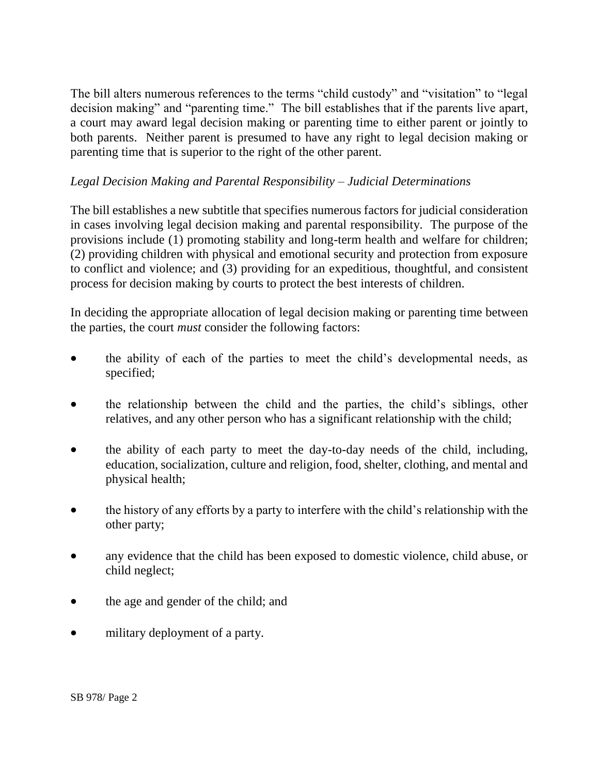The bill alters numerous references to the terms "child custody" and "visitation" to "legal decision making" and "parenting time." The bill establishes that if the parents live apart, a court may award legal decision making or parenting time to either parent or jointly to both parents. Neither parent is presumed to have any right to legal decision making or parenting time that is superior to the right of the other parent.

## *Legal Decision Making and Parental Responsibility – Judicial Determinations*

The bill establishes a new subtitle that specifies numerous factors for judicial consideration in cases involving legal decision making and parental responsibility. The purpose of the provisions include (1) promoting stability and long-term health and welfare for children; (2) providing children with physical and emotional security and protection from exposure to conflict and violence; and (3) providing for an expeditious, thoughtful, and consistent process for decision making by courts to protect the best interests of children.

In deciding the appropriate allocation of legal decision making or parenting time between the parties, the court *must* consider the following factors:

- the ability of each of the parties to meet the child's developmental needs, as specified;
- the relationship between the child and the parties, the child's siblings, other relatives, and any other person who has a significant relationship with the child;
- the ability of each party to meet the day-to-day needs of the child, including, education, socialization, culture and religion, food, shelter, clothing, and mental and physical health;
- the history of any efforts by a party to interfere with the child's relationship with the other party;
- any evidence that the child has been exposed to domestic violence, child abuse, or child neglect;
- the age and gender of the child; and
- military deployment of a party.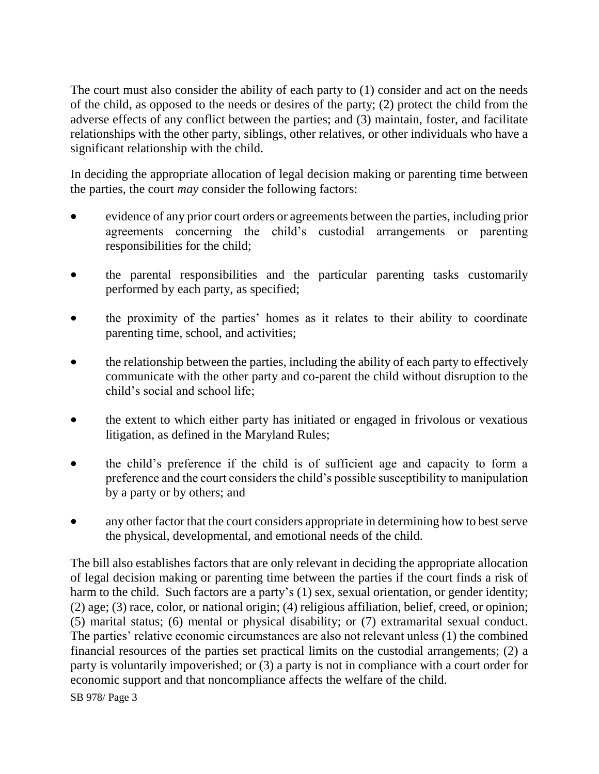The court must also consider the ability of each party to (1) consider and act on the needs of the child, as opposed to the needs or desires of the party; (2) protect the child from the adverse effects of any conflict between the parties; and (3) maintain, foster, and facilitate relationships with the other party, siblings, other relatives, or other individuals who have a significant relationship with the child.

In deciding the appropriate allocation of legal decision making or parenting time between the parties, the court *may* consider the following factors:

- evidence of any prior court orders or agreements between the parties, including prior agreements concerning the child's custodial arrangements or parenting responsibilities for the child;
- the parental responsibilities and the particular parenting tasks customarily performed by each party, as specified;
- the proximity of the parties' homes as it relates to their ability to coordinate parenting time, school, and activities;
- the relationship between the parties, including the ability of each party to effectively communicate with the other party and co-parent the child without disruption to the child's social and school life;
- the extent to which either party has initiated or engaged in frivolous or vexatious litigation, as defined in the Maryland Rules;
- the child's preference if the child is of sufficient age and capacity to form a preference and the court considers the child's possible susceptibility to manipulation by a party or by others; and
- any other factor that the court considers appropriate in determining how to best serve the physical, developmental, and emotional needs of the child.

The bill also establishes factors that are only relevant in deciding the appropriate allocation of legal decision making or parenting time between the parties if the court finds a risk of harm to the child. Such factors are a party's (1) sex, sexual orientation, or gender identity; (2) age; (3) race, color, or national origin; (4) religious affiliation, belief, creed, or opinion; (5) marital status; (6) mental or physical disability; or (7) extramarital sexual conduct. The parties' relative economic circumstances are also not relevant unless (1) the combined financial resources of the parties set practical limits on the custodial arrangements; (2) a party is voluntarily impoverished; or (3) a party is not in compliance with a court order for economic support and that noncompliance affects the welfare of the child.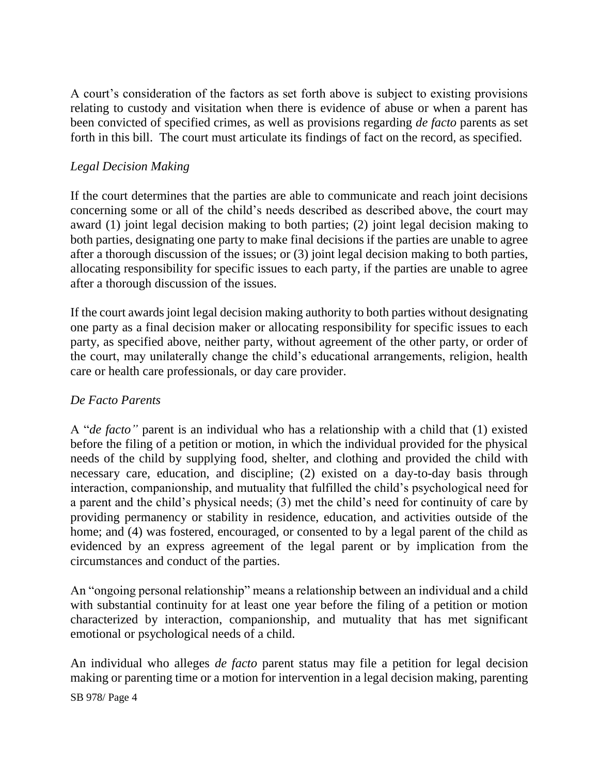A court's consideration of the factors as set forth above is subject to existing provisions relating to custody and visitation when there is evidence of abuse or when a parent has been convicted of specified crimes, as well as provisions regarding *de facto* parents as set forth in this bill. The court must articulate its findings of fact on the record, as specified.

## *Legal Decision Making*

If the court determines that the parties are able to communicate and reach joint decisions concerning some or all of the child's needs described as described above, the court may award (1) joint legal decision making to both parties; (2) joint legal decision making to both parties, designating one party to make final decisions if the parties are unable to agree after a thorough discussion of the issues; or (3) joint legal decision making to both parties, allocating responsibility for specific issues to each party, if the parties are unable to agree after a thorough discussion of the issues.

If the court awards joint legal decision making authority to both parties without designating one party as a final decision maker or allocating responsibility for specific issues to each party, as specified above, neither party, without agreement of the other party, or order of the court, may unilaterally change the child's educational arrangements, religion, health care or health care professionals, or day care provider.

### *De Facto Parents*

A "*de facto"* parent is an individual who has a relationship with a child that (1) existed before the filing of a petition or motion, in which the individual provided for the physical needs of the child by supplying food, shelter, and clothing and provided the child with necessary care, education, and discipline; (2) existed on a day-to-day basis through interaction, companionship, and mutuality that fulfilled the child's psychological need for a parent and the child's physical needs; (3) met the child's need for continuity of care by providing permanency or stability in residence, education, and activities outside of the home; and (4) was fostered, encouraged, or consented to by a legal parent of the child as evidenced by an express agreement of the legal parent or by implication from the circumstances and conduct of the parties.

An "ongoing personal relationship" means a relationship between an individual and a child with substantial continuity for at least one year before the filing of a petition or motion characterized by interaction, companionship, and mutuality that has met significant emotional or psychological needs of a child.

An individual who alleges *de facto* parent status may file a petition for legal decision making or parenting time or a motion for intervention in a legal decision making, parenting

SB 978/ Page 4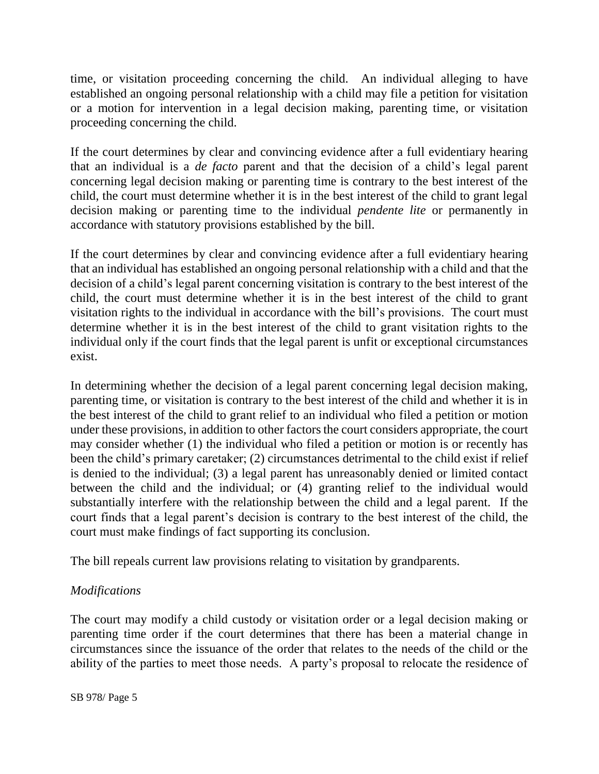time, or visitation proceeding concerning the child. An individual alleging to have established an ongoing personal relationship with a child may file a petition for visitation or a motion for intervention in a legal decision making, parenting time, or visitation proceeding concerning the child.

If the court determines by clear and convincing evidence after a full evidentiary hearing that an individual is a *de facto* parent and that the decision of a child's legal parent concerning legal decision making or parenting time is contrary to the best interest of the child, the court must determine whether it is in the best interest of the child to grant legal decision making or parenting time to the individual *pendente lite* or permanently in accordance with statutory provisions established by the bill.

If the court determines by clear and convincing evidence after a full evidentiary hearing that an individual has established an ongoing personal relationship with a child and that the decision of a child's legal parent concerning visitation is contrary to the best interest of the child, the court must determine whether it is in the best interest of the child to grant visitation rights to the individual in accordance with the bill's provisions. The court must determine whether it is in the best interest of the child to grant visitation rights to the individual only if the court finds that the legal parent is unfit or exceptional circumstances exist.

In determining whether the decision of a legal parent concerning legal decision making, parenting time, or visitation is contrary to the best interest of the child and whether it is in the best interest of the child to grant relief to an individual who filed a petition or motion under these provisions, in addition to other factors the court considers appropriate, the court may consider whether (1) the individual who filed a petition or motion is or recently has been the child's primary caretaker; (2) circumstances detrimental to the child exist if relief is denied to the individual; (3) a legal parent has unreasonably denied or limited contact between the child and the individual; or (4) granting relief to the individual would substantially interfere with the relationship between the child and a legal parent. If the court finds that a legal parent's decision is contrary to the best interest of the child, the court must make findings of fact supporting its conclusion.

The bill repeals current law provisions relating to visitation by grandparents.

### *Modifications*

The court may modify a child custody or visitation order or a legal decision making or parenting time order if the court determines that there has been a material change in circumstances since the issuance of the order that relates to the needs of the child or the ability of the parties to meet those needs. A party's proposal to relocate the residence of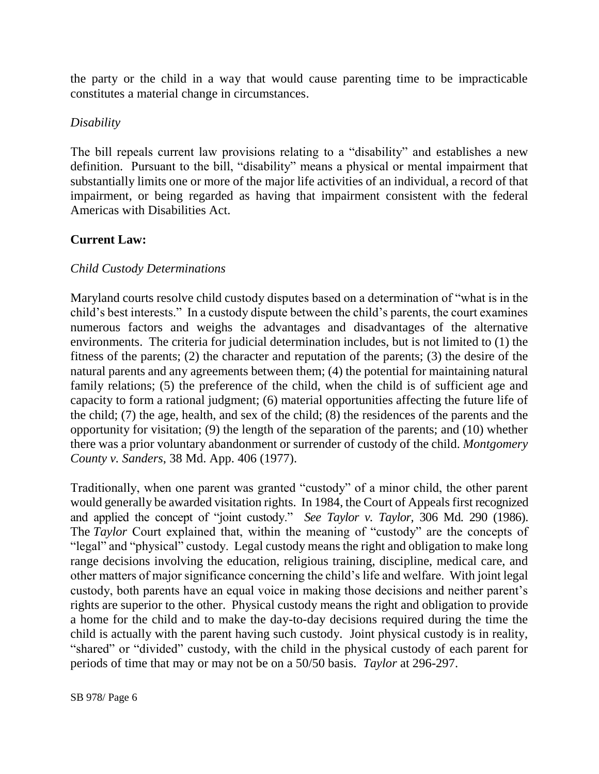the party or the child in a way that would cause parenting time to be impracticable constitutes a material change in circumstances.

### *Disability*

The bill repeals current law provisions relating to a "disability" and establishes a new definition. Pursuant to the bill, "disability" means a physical or mental impairment that substantially limits one or more of the major life activities of an individual, a record of that impairment, or being regarded as having that impairment consistent with the federal Americas with Disabilities Act.

# **Current Law:**

## *Child Custody Determinations*

Maryland courts resolve child custody disputes based on a determination of "what is in the child's best interests." In a custody dispute between the child's parents, the court examines numerous factors and weighs the advantages and disadvantages of the alternative environments. The criteria for judicial determination includes, but is not limited to (1) the fitness of the parents; (2) the character and reputation of the parents; (3) the desire of the natural parents and any agreements between them; (4) the potential for maintaining natural family relations; (5) the preference of the child, when the child is of sufficient age and capacity to form a rational judgment; (6) material opportunities affecting the future life of the child; (7) the age, health, and sex of the child; (8) the residences of the parents and the opportunity for visitation; (9) the length of the separation of the parents; and (10) whether there was a prior voluntary abandonment or surrender of custody of the child. *Montgomery County v. Sanders*, 38 Md. App. 406 (1977).

Traditionally, when one parent was granted "custody" of a minor child, the other parent would generally be awarded visitation rights. In 1984, the Court of Appeals first recognized and applied the concept of "joint custody." *See Taylor v. Taylor,* 306 Md. 290 (1986). The *Taylor* Court explained that, within the meaning of "custody" are the concepts of "legal" and "physical" custody. Legal custody means the right and obligation to make long range decisions involving the education, religious training, discipline, medical care, and other matters of major significance concerning the child's life and welfare. With joint legal custody, both parents have an equal voice in making those decisions and neither parent's rights are superior to the other. Physical custody means the right and obligation to provide a home for the child and to make the day-to-day decisions required during the time the child is actually with the parent having such custody. Joint physical custody is in reality, "shared" or "divided" custody, with the child in the physical custody of each parent for periods of time that may or may not be on a 50/50 basis. *Taylor* at 296-297.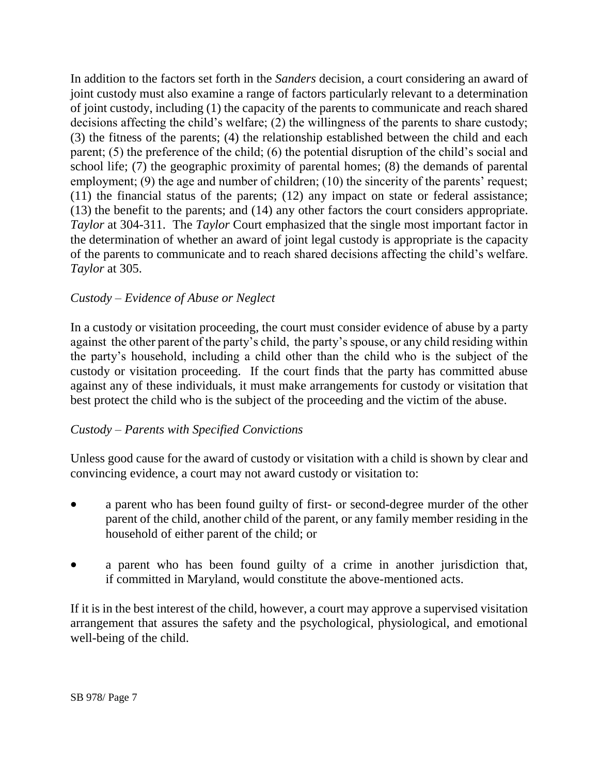In addition to the factors set forth in the *Sanders* decision, a court considering an award of joint custody must also examine a range of factors particularly relevant to a determination of joint custody, including (1) the capacity of the parents to communicate and reach shared decisions affecting the child's welfare; (2) the willingness of the parents to share custody; (3) the fitness of the parents; (4) the relationship established between the child and each parent; (5) the preference of the child; (6) the potential disruption of the child's social and school life; (7) the geographic proximity of parental homes; (8) the demands of parental employment; (9) the age and number of children; (10) the sincerity of the parents' request; (11) the financial status of the parents; (12) any impact on state or federal assistance; (13) the benefit to the parents; and (14) any other factors the court considers appropriate. *Taylor* at 304-311. The *Taylor* Court emphasized that the single most important factor in the determination of whether an award of joint legal custody is appropriate is the capacity of the parents to communicate and to reach shared decisions affecting the child's welfare. *Taylor* at 305.

## *Custody – Evidence of Abuse or Neglect*

In a custody or visitation proceeding, the court must consider evidence of abuse by a party against the other parent of the party's child, the party's spouse, or any child residing within the party's household, including a child other than the child who is the subject of the custody or visitation proceeding. If the court finds that the party has committed abuse against any of these individuals, it must make arrangements for custody or visitation that best protect the child who is the subject of the proceeding and the victim of the abuse.

# *Custody – Parents with Specified Convictions*

Unless good cause for the award of custody or visitation with a child is shown by clear and convincing evidence, a court may not award custody or visitation to:

- a parent who has been found guilty of first- or second-degree murder of the other parent of the child, another child of the parent, or any family member residing in the household of either parent of the child; or
- a parent who has been found guilty of a crime in another jurisdiction that, if committed in Maryland, would constitute the above-mentioned acts.

If it is in the best interest of the child, however, a court may approve a supervised visitation arrangement that assures the safety and the psychological, physiological, and emotional well-being of the child.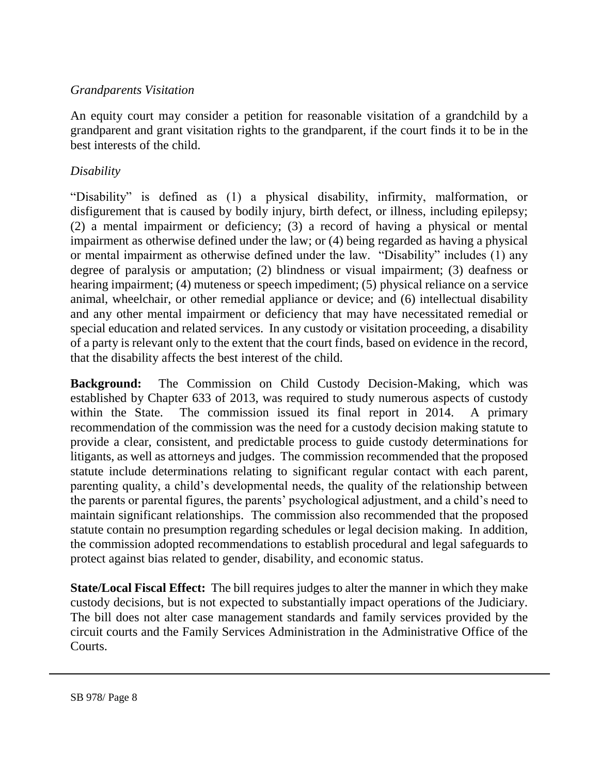## *Grandparents Visitation*

An equity court may consider a petition for reasonable visitation of a grandchild by a grandparent and grant visitation rights to the grandparent, if the court finds it to be in the best interests of the child.

# *Disability*

"Disability" is defined as (1) a physical disability, infirmity, malformation, or disfigurement that is caused by bodily injury, birth defect, or illness, including epilepsy; (2) a mental impairment or deficiency; (3) a record of having a physical or mental impairment as otherwise defined under the law; or (4) being regarded as having a physical or mental impairment as otherwise defined under the law. "Disability" includes (1) any degree of paralysis or amputation; (2) blindness or visual impairment; (3) deafness or hearing impairment; (4) muteness or speech impediment; (5) physical reliance on a service animal, wheelchair, or other remedial appliance or device; and (6) intellectual disability and any other mental impairment or deficiency that may have necessitated remedial or special education and related services. In any custody or visitation proceeding, a disability of a party is relevant only to the extent that the court finds, based on evidence in the record, that the disability affects the best interest of the child.

**Background:** The Commission on Child Custody Decision-Making, which was established by Chapter 633 of 2013, was required to study numerous aspects of custody within the State. The commission issued its final report in 2014. A primary recommendation of the commission was the need for a custody decision making statute to provide a clear, consistent, and predictable process to guide custody determinations for litigants, as well as attorneys and judges. The commission recommended that the proposed statute include determinations relating to significant regular contact with each parent, parenting quality, a child's developmental needs, the quality of the relationship between the parents or parental figures, the parents' psychological adjustment, and a child's need to maintain significant relationships. The commission also recommended that the proposed statute contain no presumption regarding schedules or legal decision making. In addition, the commission adopted recommendations to establish procedural and legal safeguards to protect against bias related to gender, disability, and economic status.

**State/Local Fiscal Effect:** The bill requires judges to alter the manner in which they make custody decisions, but is not expected to substantially impact operations of the Judiciary. The bill does not alter case management standards and family services provided by the circuit courts and the Family Services Administration in the Administrative Office of the Courts.